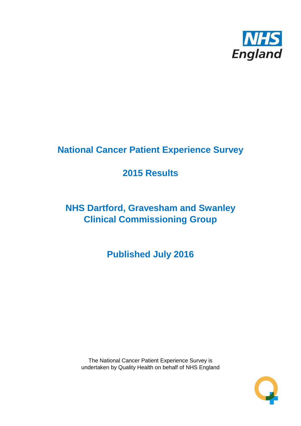

# **National Cancer Patient Experience Survey**

# **2015 Results**

# **NHS Dartford, Gravesham and Swanley Clinical Commissioning Group**

**Published July 2016**

The National Cancer Patient Experience Survey is undertaken by Quality Health on behalf of NHS England

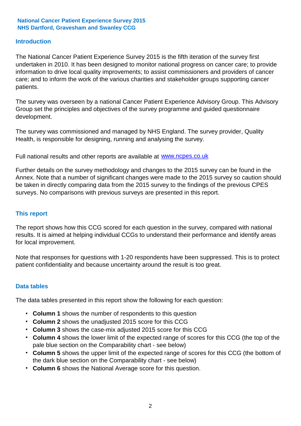### **Introduction**

The National Cancer Patient Experience Survey 2015 is the fifth iteration of the survey first undertaken in 2010. It has been designed to monitor national progress on cancer care; to provide information to drive local quality improvements; to assist commissioners and providers of cancer care; and to inform the work of the various charities and stakeholder groups supporting cancer patients.

The survey was overseen by a national Cancer Patient Experience Advisory Group. This Advisory Group set the principles and objectives of the survey programme and guided questionnaire development.

The survey was commissioned and managed by NHS England. The survey provider, Quality Health, is responsible for designing, running and analysing the survey.

Full national results and other reports are available at www.ncpes.co.uk

Further details on the survey methodology and changes to the 2015 survey can be found in the Annex. Note that a number of significant changes were made to the 2015 survey so caution should be taken in directly comparing data from the 2015 survey to the findings of the previous CPES surveys. No comparisons with previous surveys are presented in this report.

#### **This report**

The report shows how this CCG scored for each question in the survey, compared with national results. It is aimed at helping individual CCGs to understand their performance and identify areas for local improvement.

Note that responses for questions with 1-20 respondents have been suppressed. This is to protect patient confidentiality and because uncertainty around the result is too great.

#### **Data tables**

The data tables presented in this report show the following for each question:

- **Column 1** shows the number of respondents to this question
- **Column 2** shows the unadjusted 2015 score for this CCG
- **Column 3** shows the case-mix adjusted 2015 score for this CCG
- **Column 4** shows the lower limit of the expected range of scores for this CCG (the top of the pale blue section on the Comparability chart - see below)
- **Column 5** shows the upper limit of the expected range of scores for this CCG (the bottom of the dark blue section on the Comparability chart - see below)
- **Column 6** shows the National Average score for this question.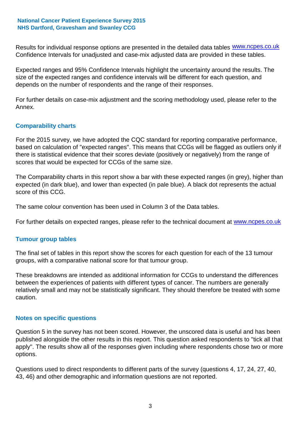Results for individual response options are presented in the detailed data tables **WWW.ncpes.co.uk** Confidence Intervals for unadjusted and case-mix adjusted data are provided in these tables.

Expected ranges and 95% Confidence Intervals highlight the uncertainty around the results. The size of the expected ranges and confidence intervals will be different for each question, and depends on the number of respondents and the range of their responses.

For further details on case-mix adjustment and the scoring methodology used, please refer to the Annex.

### **Comparability charts**

For the 2015 survey, we have adopted the CQC standard for reporting comparative performance, based on calculation of "expected ranges". This means that CCGs will be flagged as outliers only if there is statistical evidence that their scores deviate (positively or negatively) from the range of scores that would be expected for CCGs of the same size.

The Comparability charts in this report show a bar with these expected ranges (in grey), higher than expected (in dark blue), and lower than expected (in pale blue). A black dot represents the actual score of this CCG.

The same colour convention has been used in Column 3 of the Data tables.

For further details on expected ranges, please refer to the technical document at **www.ncpes.co.uk** 

#### **Tumour group tables**

The final set of tables in this report show the scores for each question for each of the 13 tumour groups, with a comparative national score for that tumour group.

These breakdowns are intended as additional information for CCGs to understand the differences between the experiences of patients with different types of cancer. The numbers are generally relatively small and may not be statistically significant. They should therefore be treated with some caution.

#### **Notes on specific questions**

Question 5 in the survey has not been scored. However, the unscored data is useful and has been published alongside the other results in this report. This question asked respondents to "tick all that apply". The results show all of the responses given including where respondents chose two or more options.

Questions used to direct respondents to different parts of the survey (questions 4, 17, 24, 27, 40, 43, 46) and other demographic and information questions are not reported.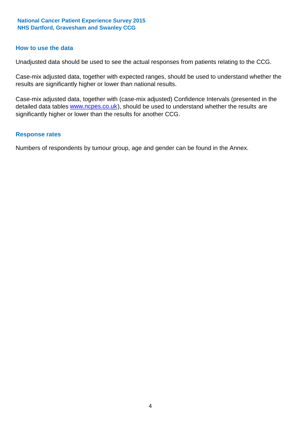#### **How to use the data**

Unadjusted data should be used to see the actual responses from patients relating to the CCG.

Case-mix adjusted data, together with expected ranges, should be used to understand whether the results are significantly higher or lower than national results.

Case-mix adjusted data, together with (case-mix adjusted) Confidence Intervals (presented in the detailed data tables **www.ncpes.co.uk**), should be used to understand whether the results are significantly higher or lower than the results for another CCG.

#### **Response rates**

Numbers of respondents by tumour group, age and gender can be found in the Annex.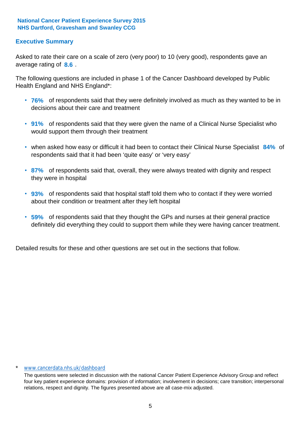### **Executive Summary**

average rating of 8.6. Asked to rate their care on a scale of zero (very poor) to 10 (very good), respondents gave an

The following questions are included in phase 1 of the Cancer Dashboard developed by Public Health England and NHS England\*:

- **76%** of respondents said that they were definitely involved as much as they wanted to be in decisions about their care and treatment
- **91%** of respondents said that they were given the name of a Clinical Nurse Specialist who would support them through their treatment
- when asked how easy or difficult it had been to contact their Clinical Nurse Specialist 84% of respondents said that it had been 'quite easy' or 'very easy'
- **87%** of respondents said that, overall, they were always treated with dignity and respect they were in hospital
- **93%** of respondents said that hospital staff told them who to contact if they were worried about their condition or treatment after they left hospital
- **59%** of respondents said that they thought the GPs and nurses at their general practice definitely did everything they could to support them while they were having cancer treatment.

Detailed results for these and other questions are set out in the sections that follow.

#### \* www.cancerdata.nhs.uk/dashboard

The questions were selected in discussion with the national Cancer Patient Experience Advisory Group and reflect four key patient experience domains: provision of information; involvement in decisions; care transition; interpersonal relations, respect and dignity. The figures presented above are all case-mix adjusted.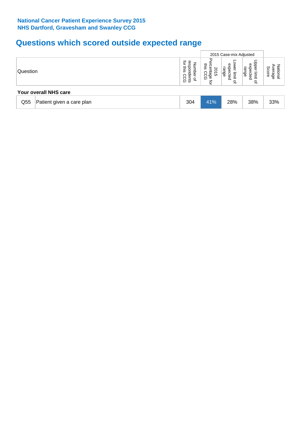# **Questions which scored outside expected range**

|                 |                           |     |                                                                          | 2015 Case-mix Adjusted                                  |                                           |                              |
|-----------------|---------------------------|-----|--------------------------------------------------------------------------|---------------------------------------------------------|-------------------------------------------|------------------------------|
| Question        | Your overall NHS care     |     | 공<br>mis<br>ິ<br>₾<br>SQ<br>ccc<br>CCC<br>$\frac{1}{\alpha}$<br>Q<br>ਕੁੱ | Ф<br>range<br>ሟ<br>᠊ᠸ<br>ecte<br>limit<br>$\Omega$<br>₽ | Jpper<br>expected<br>range<br>limit<br>٩Ť | Score<br>āť<br>erage<br>lana |
|                 |                           |     |                                                                          |                                                         |                                           |                              |
| Q <sub>55</sub> | Patient given a care plan | 304 | 41%                                                                      | 28%                                                     | 38%                                       | 33%                          |
|                 |                           |     |                                                                          |                                                         |                                           |                              |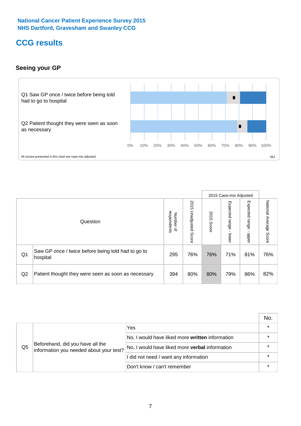# **CCG results**

### **Seeing your GP**



|    |                                                                |                                         |                             |               | 2015 Case-mix Adjusted     |                            |                           |
|----|----------------------------------------------------------------|-----------------------------------------|-----------------------------|---------------|----------------------------|----------------------------|---------------------------|
|    | Question                                                       | respondents<br>Number<br>$\overline{a}$ | 2015<br>Unadjusted<br>Score | 2015<br>Score | Expected<br>range<br>lower | Expected<br>range<br>nbber | National Average<br>Score |
| Q1 | Saw GP once / twice before being told had to go to<br>hospital | 295                                     | 76%                         | 76%           | 71%                        | 81%                        | 76%                       |
| Q2 | Patient thought they were seen as soon as necessary            | 394                                     | 80%                         | 80%           | 79%                        | 86%                        | 82%                       |

|    |                                                                             |                                                 | No. |
|----|-----------------------------------------------------------------------------|-------------------------------------------------|-----|
|    | Beforehand, did you have all the<br>information you needed about your test? | Yes                                             |     |
|    |                                                                             | No, I would have liked more written information |     |
| Q5 |                                                                             | No, I would have liked more verbal information  |     |
|    |                                                                             | I did not need / want any information           |     |
|    |                                                                             | Don't know / can't remember                     |     |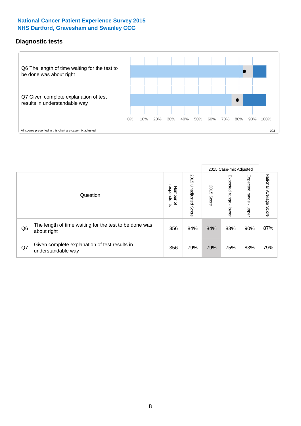### **Diagnostic tests**



|                |                                                                       |                                   |                             |               | 2015 Case-mix Adjusted      |                         |                           |
|----------------|-----------------------------------------------------------------------|-----------------------------------|-----------------------------|---------------|-----------------------------|-------------------------|---------------------------|
|                | Question                                                              | respondents<br>Number<br>$\Omega$ | 2015<br>Unadjusted<br>Score | 2015<br>Score | Expected<br>Irange<br>lower | Expected range<br>nbber | National Average<br>Score |
| Q <sub>6</sub> | The length of time waiting for the test to be done was<br>about right | 356                               | 84%                         | 84%           | 83%                         | 90%                     | 87%                       |
| Q7             | Given complete explanation of test results in<br>understandable way   | 356                               | 79%                         | 79%           | 75%                         | 83%                     | 79%                       |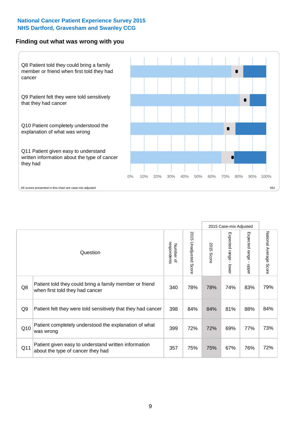#### **Finding out what was wrong with you**



|     |                                                                                            |                                         |                       |               | 2015 Case-mix Adjusted    |                                         |                        |
|-----|--------------------------------------------------------------------------------------------|-----------------------------------------|-----------------------|---------------|---------------------------|-----------------------------------------|------------------------|
|     | Question                                                                                   | respondents<br>Number<br>$\overline{a}$ | 2015 Unadjusted Score | 2015<br>Score | Expected range<br>- lower | Expected range<br>$\mathbf{r}$<br>nbber | National Average Score |
| Q8  | Patient told they could bring a family member or friend<br>when first told they had cancer | 340                                     | 78%                   | 78%           | 74%                       | 83%                                     | 79%                    |
| Q9  | Patient felt they were told sensitively that they had cancer                               | 398                                     | 84%                   | 84%           | 81%                       | 88%                                     | 84%                    |
| Q10 | Patient completely understood the explanation of what<br>was wrong                         | 399                                     | 72%                   | 72%           | 69%                       | 77%                                     | 73%                    |
| Q11 | Patient given easy to understand written information<br>about the type of cancer they had  | 357                                     | 75%                   | 75%           | 67%                       | 76%                                     | 72%                    |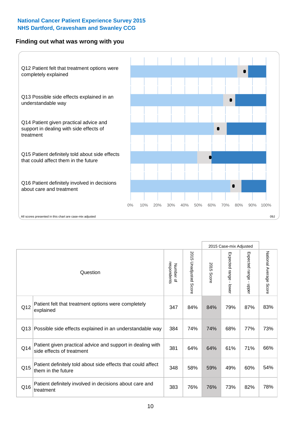### **Finding out what was wrong with you**



|                 |                                                                                         |                          |                                 |               | 2015 Case-mix Adjusted                    |                        |                        |
|-----------------|-----------------------------------------------------------------------------------------|--------------------------|---------------------------------|---------------|-------------------------------------------|------------------------|------------------------|
| Question        |                                                                                         | Number of<br>respondents | 2015<br><b>Unadjusted Score</b> | 2015<br>Score | Expected range<br>$\blacksquare$<br>lower | Expected range - upper | National Average Score |
| Q12             | Patient felt that treatment options were completely<br>explained                        | 347                      | 84%                             | 84%           | 79%                                       | 87%                    | 83%                    |
| Q13             | Possible side effects explained in an understandable way                                | 384                      | 74%                             | 74%           | 68%                                       | 77%                    | 73%                    |
| Q14             | Patient given practical advice and support in dealing with<br>side effects of treatment | 381                      | 64%                             | 64%           | 61%                                       | 71%                    | 66%                    |
| Q <sub>15</sub> | Patient definitely told about side effects that could affect<br>them in the future      | 348                      | 58%                             | 59%           | 49%                                       | 60%                    | 54%                    |
| Q16             | Patient definitely involved in decisions about care and<br>treatment                    | 383                      | 76%                             | 76%           | 73%                                       | 82%                    | 78%                    |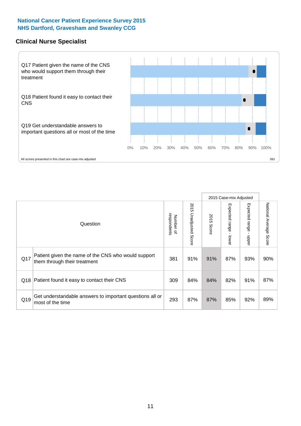#### **Clinical Nurse Specialist**



|     |                                                                                     |                          |                       |               | 2015 Case-mix Adjusted  |                              |                                  |
|-----|-------------------------------------------------------------------------------------|--------------------------|-----------------------|---------------|-------------------------|------------------------------|----------------------------------|
|     | Question                                                                            | respondents<br>Number of | 2015 Unadjusted Score | 2015<br>Score | Expected range<br>lower | Expected<br>l range<br>nbber | National Average<br><b>Score</b> |
| Q17 | Patient given the name of the CNS who would support<br>them through their treatment | 381                      | 91%                   | 91%           | 87%                     | 93%                          | 90%                              |
| Q18 | Patient found it easy to contact their CNS                                          | 309                      | 84%                   | 84%           | 82%                     | 91%                          | 87%                              |
| Q19 | Get understandable answers to important questions all or<br>most of the time        | 293                      | 87%                   | 87%           | 85%                     | 92%                          | 89%                              |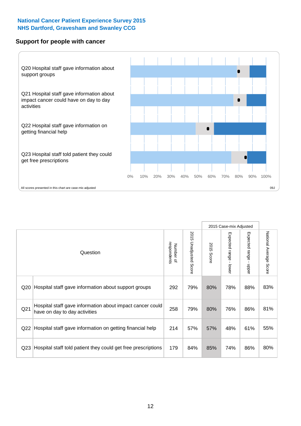#### **Support for people with cancer**



|                 |                                                                                            |                          |                                 |               | 2015 Case-mix Adjusted                  |                                           |                        |
|-----------------|--------------------------------------------------------------------------------------------|--------------------------|---------------------------------|---------------|-----------------------------------------|-------------------------------------------|------------------------|
|                 | Question                                                                                   | respondents<br>Number of | 2015<br><b>Unadjusted Score</b> | 2015<br>Score | Expected range<br>$\mathbf{I}$<br>lower | Expected range<br>$\blacksquare$<br>nbber | National Average Score |
| Q <sub>20</sub> | Hospital staff gave information about support groups                                       | 292                      | 79%                             | 80%           | 78%                                     | 88%                                       | 83%                    |
| Q <sub>21</sub> | Hospital staff gave information about impact cancer could<br>have on day to day activities | 258                      | 79%                             | 80%           | 76%                                     | 86%                                       | 81%                    |
| Q <sub>22</sub> | Hospital staff gave information on getting financial help                                  | 214                      | 57%                             | 57%           | 48%                                     | 61%                                       | 55%                    |
| Q <sub>23</sub> | Hospital staff told patient they could get free prescriptions                              | 179                      | 84%                             | 85%           | 74%                                     | 86%                                       | 80%                    |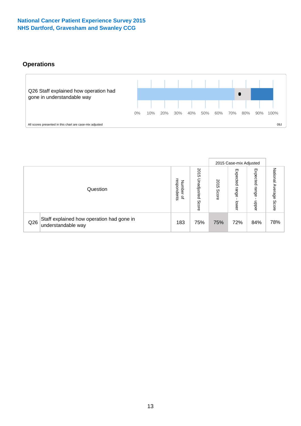# **Operations**



|     |                                                                 |                                              |                             | 2015 Case-mix Adjusted |                            |                           |                              |
|-----|-----------------------------------------------------------------|----------------------------------------------|-----------------------------|------------------------|----------------------------|---------------------------|------------------------------|
|     | Question                                                        | respondents<br>Number<br>$\overline{\sigma}$ | 2015<br>Unadjusted<br>Score | 2015<br>Score          | Expected<br>range<br>lower | Expected<br>range<br>dddn | National<br>Average<br>Score |
| Q26 | Staff explained how operation had gone in<br>understandable way | 183                                          | 75%                         | 75%                    | 72%                        | 84%                       | 78%                          |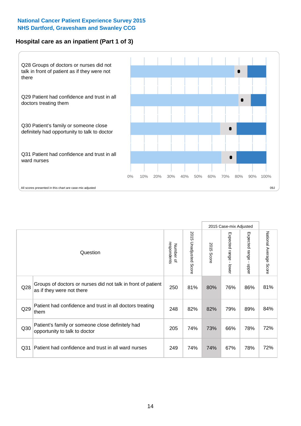### **Hospital care as an inpatient (Part 1 of 3)**



All scores presented in this chart are case-mix adjusted  $09J$ 

|                 |                                                                                           |                          |                       |                      | 2015 Case-mix Adjusted                    |                                           |                        |
|-----------------|-------------------------------------------------------------------------------------------|--------------------------|-----------------------|----------------------|-------------------------------------------|-------------------------------------------|------------------------|
|                 | Question                                                                                  | respondents<br>Number of | 2015 Unadjusted Score | 2015<br><b>Score</b> | Expected range<br>$\blacksquare$<br>lower | Expected range<br>$\blacksquare$<br>nbber | National Average Score |
| Q28             | Groups of doctors or nurses did not talk in front of patient<br>as if they were not there | 250                      | 81%                   | 80%                  | 76%                                       | 86%                                       | 81%                    |
| Q29             | Patient had confidence and trust in all doctors treating<br>them                          | 248                      | 82%                   | 82%                  | 79%                                       | 89%                                       | 84%                    |
| Q30             | Patient's family or someone close definitely had<br>opportunity to talk to doctor         | 205                      | 74%                   | 73%                  | 66%                                       | 78%                                       | 72%                    |
| Q <sub>31</sub> | Patient had confidence and trust in all ward nurses                                       | 249                      | 74%                   | 74%                  | 67%                                       | 78%                                       | 72%                    |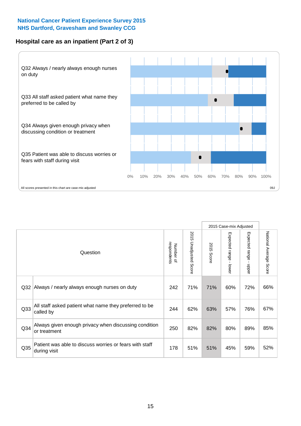### **Hospital care as an inpatient (Part 2 of 3)**



|                 |                                                                         |                          |                             |               | 2015 Case-mix Adjusted |                           |                                  |
|-----------------|-------------------------------------------------------------------------|--------------------------|-----------------------------|---------------|------------------------|---------------------------|----------------------------------|
|                 | Question                                                                | respondents<br>Number of | 2015<br>Unadjusted<br>Score | 2015<br>Score | Expected range - lower | Expected range<br>- nbber | National Average<br><b>Score</b> |
| Q <sub>32</sub> | Always / nearly always enough nurses on duty                            | 242                      | 71%                         | 71%           | 60%                    | 72%                       | 66%                              |
| Q33             | All staff asked patient what name they preferred to be<br>called by     | 244                      | 62%                         | 63%           | 57%                    | 76%                       | 67%                              |
| Q34             | Always given enough privacy when discussing condition<br>or treatment   | 250                      | 82%                         | 82%           | 80%                    | 89%                       | 85%                              |
| Q35             | Patient was able to discuss worries or fears with staff<br>during visit | 178                      | 51%                         | 51%           | 45%                    | 59%                       | 52%                              |
|                 |                                                                         |                          |                             |               |                        |                           |                                  |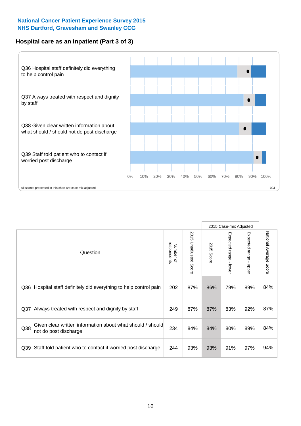### **Hospital care as an inpatient (Part 3 of 3)**



|     |                                                                                     |                          |                                 |               | 2015 Case-mix Adjusted  |                                           |                        |
|-----|-------------------------------------------------------------------------------------|--------------------------|---------------------------------|---------------|-------------------------|-------------------------------------------|------------------------|
|     | Question                                                                            | respondents<br>Number of | 2015<br><b>Unadjusted Score</b> | 2015<br>Score | Expected range<br>lower | Expected range<br>$\blacksquare$<br>nbber | National Average Score |
| Q36 | Hospital staff definitely did everything to help control pain                       | 202                      | 87%                             | 86%           | 79%                     | 89%                                       | 84%                    |
| Q37 | Always treated with respect and dignity by staff                                    | 249                      | 87%                             | 87%           | 83%                     | 92%                                       | 87%                    |
| Q38 | Given clear written information about what should / should<br>not do post discharge | 234                      | 84%                             | 84%           | 80%                     | 89%                                       | 84%                    |
| Q39 | Staff told patient who to contact if worried post discharge                         | 244                      | 93%                             | 93%           | 91%                     | 97%                                       | 94%                    |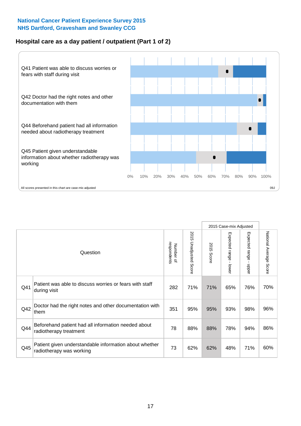### **Hospital care as a day patient / outpatient (Part 1 of 2)**



|     |                                                                                    |                          |                                 | 2015 Case-mix Adjusted |                                           |                                         |                        |
|-----|------------------------------------------------------------------------------------|--------------------------|---------------------------------|------------------------|-------------------------------------------|-----------------------------------------|------------------------|
|     | Question                                                                           | respondents<br>Number of | 2015<br><b>Unadjusted Score</b> | 2015<br><b>Score</b>   | Expected range<br>$\blacksquare$<br>lower | Expected range<br>$\mathbf{r}$<br>nbber | National Average Score |
| Q41 | Patient was able to discuss worries or fears with staff<br>during visit            | 282                      | 71%                             | 71%                    | 65%                                       | 76%                                     | 70%                    |
| Q42 | Doctor had the right notes and other documentation with<br>them                    | 351                      | 95%                             | 95%                    | 93%                                       | 98%                                     | 96%                    |
| Q44 | Beforehand patient had all information needed about<br>radiotherapy treatment      | 78                       | 88%                             | 88%                    | 78%                                       | 94%                                     | 86%                    |
| Q45 | Patient given understandable information about whether<br>radiotherapy was working | 73                       | 62%                             | 62%                    | 48%                                       | 71%                                     | 60%                    |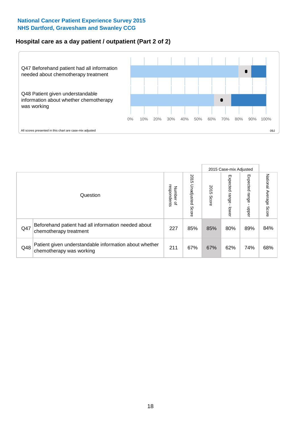### **Hospital care as a day patient / outpatient (Part 2 of 2)**



|     |                                                                                    |                                       |                             | 2015 Case-mix Adjusted |                             |                         |                           |
|-----|------------------------------------------------------------------------------------|---------------------------------------|-----------------------------|------------------------|-----------------------------|-------------------------|---------------------------|
|     | Question                                                                           | respondents<br>Number<br>$\mathbf{Q}$ | 2015<br>Unadjusted<br>Score | 2015<br>Score          | Expected<br>Irange<br>lower | Expected range<br>doper | National Average<br>Score |
| Q47 | Beforehand patient had all information needed about<br>chemotherapy treatment      | 227                                   | 85%                         | 85%                    | 80%                         | 89%                     | 84%                       |
| Q48 | Patient given understandable information about whether<br>chemotherapy was working | 211                                   | 67%                         | 67%                    | 62%                         | 74%                     | 68%                       |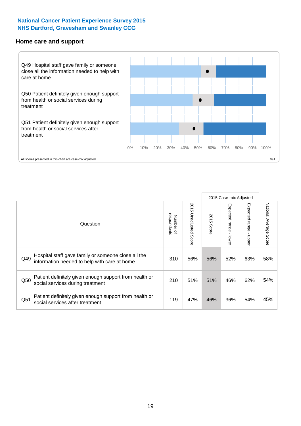#### **Home care and support**



|     |                                                                                                     |                          |                          |               | 2015 Case-mix Adjusted       |                         |                        |
|-----|-----------------------------------------------------------------------------------------------------|--------------------------|--------------------------|---------------|------------------------------|-------------------------|------------------------|
|     | Question                                                                                            | respondents<br>Number of | 2015 Unadjusted<br>Score | 2015<br>Score | Expected<br>I range<br>lower | Expected range<br>nbber | National Average Score |
| Q49 | Hospital staff gave family or someone close all the<br>information needed to help with care at home | 310                      | 56%                      | 56%           | 52%                          | 63%                     | 58%                    |
| Q50 | Patient definitely given enough support from health or<br>social services during treatment          | 210                      | 51%                      | 51%           | 46%                          | 62%                     | 54%                    |
| Q51 | Patient definitely given enough support from health or<br>social services after treatment           | 119                      | 47%                      | 46%           | 36%                          | 54%                     | 45%                    |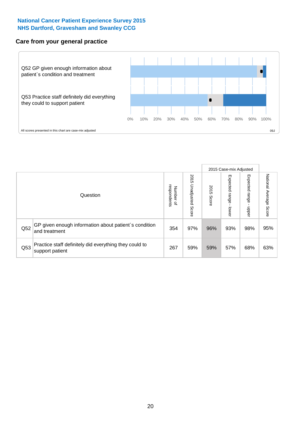### **Care from your general practice**



|     |                                                                           |                                       |                             | 2015 Case-mix Adjusted |                                    |                         |                           |
|-----|---------------------------------------------------------------------------|---------------------------------------|-----------------------------|------------------------|------------------------------------|-------------------------|---------------------------|
|     | Question                                                                  | respondents<br>Number<br>$\mathbf{Q}$ | 2015<br>Unadjusted<br>Score | 2015<br>Score          | Expected<br><b>Irange</b><br>lower | Expected range<br>doper | National Average<br>Score |
| Q52 | GP given enough information about patient's condition<br>and treatment    | 354                                   | 97%                         | 96%                    | 93%                                | 98%                     | 95%                       |
| Q53 | Practice staff definitely did everything they could to<br>support patient | 267                                   | 59%                         | 59%                    | 57%                                | 68%                     | 63%                       |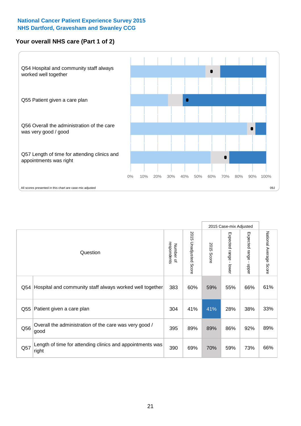### **Your overall NHS care (Part 1 of 2)**



|     |                                                                    |                          |                                 | 2015 Case-mix Adjusted |                                           |                                           |                        |
|-----|--------------------------------------------------------------------|--------------------------|---------------------------------|------------------------|-------------------------------------------|-------------------------------------------|------------------------|
|     | Question                                                           | respondents<br>Number of | 2015<br><b>Unadjusted Score</b> | 2015<br>Score          | Expected range<br>$\blacksquare$<br>lower | Expected range<br>$\blacksquare$<br>nbber | National Average Score |
| Q54 | Hospital and community staff always worked well together           | 383                      | 60%                             | 59%                    | 55%                                       | 66%                                       | 61%                    |
| Q55 | Patient given a care plan                                          | 304                      | 41%                             | 41%                    | 28%                                       | 38%                                       | 33%                    |
| Q56 | Overall the administration of the care was very good /<br>good     | 395                      | 89%                             | 89%                    | 86%                                       | 92%                                       | 89%                    |
| Q57 | Length of time for attending clinics and appointments was<br>right | 390                      | 69%                             | 70%                    | 59%                                       | 73%                                       | 66%                    |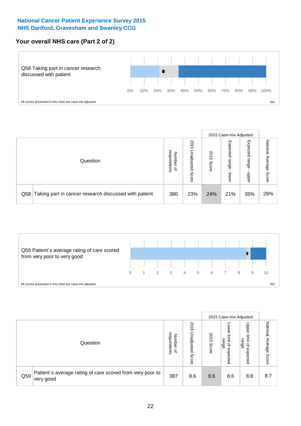### **Your overall NHS care (Part 2 of 2)**



|     |                                                       |                                              |                             |               | 2015 Case-mix Adjusted     |                            |                        |
|-----|-------------------------------------------------------|----------------------------------------------|-----------------------------|---------------|----------------------------|----------------------------|------------------------|
|     | Question                                              | respondents<br>Number<br>$\overline{\sigma}$ | 2015<br>Unadjusted<br>Score | 2015<br>Score | Expected<br>range<br>lower | Expected<br>range<br>doper | National Average Score |
| Q58 | Taking part in cancer research discussed with patient | 380                                          | 23%                         | 24%           | 21%                        | 35%                        | 28%                    |



|     |                                                                        |                                              |                             |               | 2015 Case-mix Adjusted                  |                                                       |                              |
|-----|------------------------------------------------------------------------|----------------------------------------------|-----------------------------|---------------|-----------------------------------------|-------------------------------------------------------|------------------------------|
|     | Question                                                               | respondents<br>Number<br>$\overline{\sigma}$ | 2015<br>Jnadjusted<br>Score | 2015<br>Score | OWer<br>limit<br>range<br>٩<br>expected | Upper<br>limit<br>range<br>$\overline{a}$<br>expected | National<br>Average<br>Score |
| Q59 | Patient's average rating of care scored from very poor to<br>very good | 387                                          | 8.6                         | 8.6           | 8.6                                     | 8.8                                                   | 8.7                          |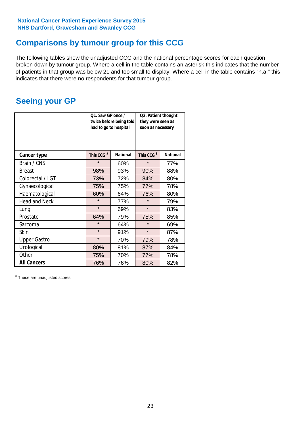# **Comparisons by tumour group for this CCG**

The following tables show the unadjusted CCG and the national percentage scores for each question broken down by tumour group. Where a cell in the table contains an asterisk this indicates that the number of patients in that group was below 21 and too small to display. Where a cell in the table contains "n.a." this indicates that there were no respondents for that tumour group.

# **Seeing your GP**

|                      | Q1. Saw GP once /<br>had to go to hospital | twice before being told | Q2. Patient thought<br>they were seen as<br>soon as necessary |                 |  |
|----------------------|--------------------------------------------|-------------------------|---------------------------------------------------------------|-----------------|--|
| <b>Cancer type</b>   | This CCG <sup>\$</sup>                     | <b>National</b>         | This CCG <sup>\$</sup>                                        | <b>National</b> |  |
| Brain / CNS          | $\star$                                    | 60%                     | $\star$                                                       | 77%             |  |
| <b>Breast</b>        | 98%                                        | 93%                     | 90%                                                           | 88%             |  |
| Colorectal / LGT     | 73%                                        | 72%                     | 84%                                                           | 80%             |  |
| Gynaecological       | 75%                                        | 75%                     | 77%                                                           | 78%             |  |
| Haematological       | 60%                                        | 64%                     | 76%                                                           | 80%             |  |
| <b>Head and Neck</b> | $\star$                                    | 77%                     | $\star$                                                       | 79%             |  |
| Lung                 | $\star$                                    | 69%                     | $\star$                                                       | 83%             |  |
| Prostate             | 64%                                        | 79%                     | 75%                                                           | 85%             |  |
| Sarcoma              | $\star$                                    | 64%                     | $\star$                                                       | 69%             |  |
| Skin                 | $\star$                                    | 91%                     | $\star$                                                       | 87%             |  |
| <b>Upper Gastro</b>  | $\star$                                    | 70%                     | 79%                                                           | 78%             |  |
| Urological           | 80%                                        | 81%                     | 87%                                                           | 84%             |  |
| Other                | 75%                                        | 70%                     | 77%                                                           | 78%             |  |
| <b>All Cancers</b>   | 76%                                        | 76%                     | 80%                                                           | 82%             |  |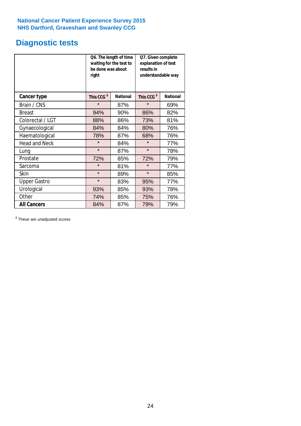# **Diagnostic tests**

|                      | be done was about<br>right | Q6. The length of time<br>waiting for the test to | Q7. Given complete<br>explanation of test<br>results in<br>understandable way |                 |  |
|----------------------|----------------------------|---------------------------------------------------|-------------------------------------------------------------------------------|-----------------|--|
| <b>Cancer type</b>   | This CCG <sup>\$</sup>     | <b>National</b>                                   | This CCG <sup>\$</sup>                                                        | <b>National</b> |  |
| Brain / CNS          | $\star$                    | 87%                                               | $\star$                                                                       | 69%             |  |
| <b>Breast</b>        | 94%                        | 90%                                               | 86%                                                                           | 82%             |  |
| Colorectal / LGT     | 88%                        | 86%                                               | 73%                                                                           | 81%             |  |
| Gynaecological       | 84%                        | 84%                                               | 80%                                                                           | 76%             |  |
| Haematological       | 78%                        | 87%                                               | 68%                                                                           | 76%             |  |
| <b>Head and Neck</b> | $\star$                    | 84%                                               | $\star$                                                                       | 77%             |  |
| Lung                 | $\star$                    | 87%                                               | $\star$                                                                       | 78%             |  |
| Prostate             | 72%                        | 85%                                               | 72%                                                                           | 79%             |  |
| Sarcoma              | $\star$                    | 81%                                               | $\star$                                                                       | 77%             |  |
| Skin                 | $\star$                    | 89%                                               | $\star$                                                                       | 85%             |  |
| <b>Upper Gastro</b>  | $\star$                    | 83%                                               | 95%                                                                           | 77%             |  |
| Urological           | 93%                        | 85%                                               | 93%                                                                           | 78%             |  |
| Other                | 74%                        | 85%                                               | 75%                                                                           | 76%             |  |
| <b>All Cancers</b>   | 84%                        | 87%                                               | 79%                                                                           | 79%             |  |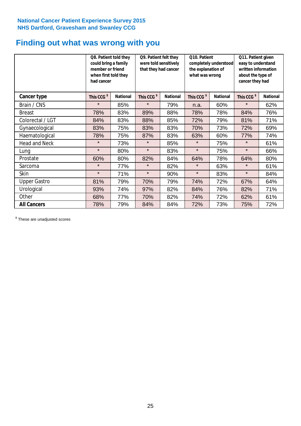# **Finding out what was wrong with you**

|                      | Q8. Patient told they<br>could bring a family<br>member or friend<br>when first told they<br>had cancer |                 | Q9. Patient felt they<br>were told sensitively<br>that they had cancer |                 | Q10. Patient<br>completely understood<br>the explanation of<br>what was wrong |                 | Q11. Patient given<br>easy to understand<br>written information<br>about the type of<br>cancer they had |                 |
|----------------------|---------------------------------------------------------------------------------------------------------|-----------------|------------------------------------------------------------------------|-----------------|-------------------------------------------------------------------------------|-----------------|---------------------------------------------------------------------------------------------------------|-----------------|
| Cancer type          | This CCG <sup>\$</sup>                                                                                  | <b>National</b> | This CCG <sup>\$</sup>                                                 | <b>National</b> | This CCG <sup>\$</sup>                                                        | <b>National</b> | This CCG <sup>\$</sup>                                                                                  | <b>National</b> |
| Brain / CNS          | $\star$                                                                                                 | 85%             | $\star$                                                                | 79%             | n.a.                                                                          | 60%             | $\star$                                                                                                 | 62%             |
| <b>Breast</b>        | 78%                                                                                                     | 83%             | 89%                                                                    | 88%             | 78%                                                                           | 78%             | 84%                                                                                                     | 76%             |
| Colorectal / LGT     | 84%                                                                                                     | 83%             | 88%                                                                    | 85%             | 72%                                                                           | 79%             | 81%                                                                                                     | 71%             |
| Gynaecological       | 83%                                                                                                     | 75%             | 83%                                                                    | 83%             | 70%                                                                           | 73%             | 72%                                                                                                     | 69%             |
| Haematological       | 78%                                                                                                     | 75%             | 87%                                                                    | 83%             | 63%                                                                           | 60%             | 77%                                                                                                     | 74%             |
| <b>Head and Neck</b> | $\star$                                                                                                 | 73%             | $\star$                                                                | 85%             | $\star$                                                                       | 75%             | $\star$                                                                                                 | 61%             |
| Lung                 | $\star$                                                                                                 | 80%             | $\star$                                                                | 83%             | $\star$                                                                       | 75%             | $\star$                                                                                                 | 66%             |
| Prostate             | 60%                                                                                                     | 80%             | 82%                                                                    | 84%             | 64%                                                                           | 78%             | 64%                                                                                                     | 80%             |
| Sarcoma              | $\star$                                                                                                 | 77%             | $\star$                                                                | 82%             | $\star$                                                                       | 63%             | $\star$                                                                                                 | 61%             |
| Skin                 | $\star$                                                                                                 | 71%             | $\star$                                                                | 90%             | $\star$                                                                       | 83%             | $\star$                                                                                                 | 84%             |
| <b>Upper Gastro</b>  | 81%                                                                                                     | 79%             | 70%                                                                    | 79%             | 74%                                                                           | 72%             | 67%                                                                                                     | 64%             |
| Urological           | 93%                                                                                                     | 74%             | 97%                                                                    | 82%             | 84%                                                                           | 76%             | 82%                                                                                                     | 71%             |
| Other                | 68%                                                                                                     | 77%             | 70%                                                                    | 82%             | 74%                                                                           | 72%             | 62%                                                                                                     | 61%             |
| <b>All Cancers</b>   | 78%                                                                                                     | 79%             | 84%                                                                    | 84%             | 72%                                                                           | 73%             | 75%                                                                                                     | 72%             |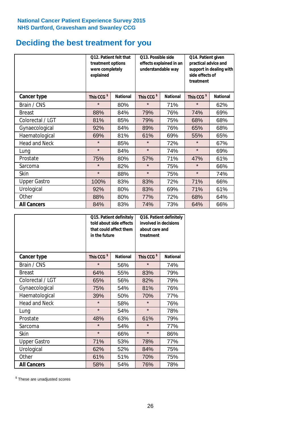# **Deciding the best treatment for you**

|                      | treatment options<br>were completely<br>explained | Q12. Patient felt that | Q13. Possible side<br>understandable way | effects explained in an | Q14. Patient given<br>practical advice and<br>support in dealing with<br>side effects of<br>treatment<br>This CCG <sup>\$</sup> |                 |  |
|----------------------|---------------------------------------------------|------------------------|------------------------------------------|-------------------------|---------------------------------------------------------------------------------------------------------------------------------|-----------------|--|
| <b>Cancer type</b>   | This CCG <sup>\$</sup>                            | <b>National</b>        | This CCG <sup>\$</sup>                   | <b>National</b>         |                                                                                                                                 | <b>National</b> |  |
| Brain / CNS          | $\star$                                           | 80%                    | $\star$                                  | 71%                     | $\star$                                                                                                                         | 62%             |  |
| <b>Breast</b>        | 88%                                               | 84%                    | 79%                                      | 76%                     | 74%                                                                                                                             | 69%             |  |
| Colorectal / LGT     | 81%                                               | 85%                    | 79%                                      | 75%                     | 68%                                                                                                                             | 68%             |  |
| Gynaecological       | 92%                                               | 84%                    | 89%                                      | 76%                     | 65%                                                                                                                             | 68%             |  |
| Haematological       | 69%                                               | 81%                    | 61%                                      | 69%                     | 55%                                                                                                                             | 65%             |  |
| <b>Head and Neck</b> | $\star$                                           | 85%                    | $\star$                                  | 72%                     | $\star$                                                                                                                         | 67%             |  |
| Lung                 | $\star$                                           | 84%                    | $\star$                                  | 74%                     | $\star$                                                                                                                         | 69%             |  |
| Prostate             | 75%                                               | 80%                    | 57%                                      | 71%                     | 47%                                                                                                                             | 61%             |  |
| Sarcoma              | $\star$                                           | 82%                    | $\star$                                  | 75%                     | $\star$                                                                                                                         | 66%             |  |
| Skin                 | $\star$                                           | 88%                    | $\star$                                  | 75%                     | $\star$                                                                                                                         | 74%             |  |
| <b>Upper Gastro</b>  | 100%                                              | 83%                    | 83%                                      | 72%                     | 71%                                                                                                                             | 66%             |  |
| Urological           | 92%                                               | 80%                    | 83%                                      | 69%                     | 71%                                                                                                                             | 61%             |  |
| Other                | 88%                                               | 80%                    | 77%                                      | 72%                     | 68%                                                                                                                             | 64%             |  |
| <b>All Cancers</b>   | 84%                                               | 83%                    | 74%                                      | 73%                     | 64%                                                                                                                             | 66%             |  |

|                      | in the future          | Q15. Patient definitely<br>told about side effects<br>that could affect them | Q16. Patient definitely<br>involved in decisions<br>about care and<br>treatment |                 |  |
|----------------------|------------------------|------------------------------------------------------------------------------|---------------------------------------------------------------------------------|-----------------|--|
| <b>Cancer type</b>   | This CCG <sup>\$</sup> | <b>National</b>                                                              | This CCG <sup>\$</sup>                                                          | <b>National</b> |  |
| Brain / CNS          | $\star$                | 56%                                                                          | $\star$                                                                         | 74%             |  |
| <b>Breast</b>        | 64%                    | 55%                                                                          | 83%                                                                             | 79%             |  |
| Colorectal / LGT     | 65%                    | 56%                                                                          | 82%                                                                             | 79%             |  |
| Gynaecological       | 75%<br>54%             |                                                                              | 81%                                                                             | 76%             |  |
| Haematological       | 39%<br>50%             |                                                                              | 70%                                                                             | 77%             |  |
| <b>Head and Neck</b> | $\star$                | 58%                                                                          | $\star$                                                                         | 76%             |  |
| Lung                 | $\star$                | 54%                                                                          | $\star$                                                                         | 78%             |  |
| Prostate             | 48%                    | 63%                                                                          | 61%                                                                             | 79%             |  |
| Sarcoma              | $\star$                | 54%                                                                          | $\star$                                                                         | 77%             |  |
| <b>Skin</b>          | $\star$                | 66%                                                                          | $\star$                                                                         | 86%             |  |
| <b>Upper Gastro</b>  | 71%                    | 53%                                                                          | 78%                                                                             | 77%             |  |
| Urological           | 62%                    | 52%                                                                          | 84%                                                                             | 75%             |  |
| Other                | 61%                    | 51%                                                                          | 70%                                                                             | 75%             |  |
| <b>All Cancers</b>   | 58%                    | 54%                                                                          | 76%                                                                             | 78%             |  |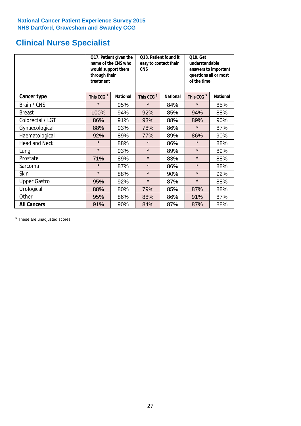# **Clinical Nurse Specialist**

|                      | would support them<br>through their<br>treatment | Q17. Patient given the<br>name of the CNS who | Q18. Patient found it<br>easy to contact their<br><b>CNS</b> |                 | <b>Q19. Get</b><br>understandable<br>answers to important<br>questions all or most<br>of the time |                 |
|----------------------|--------------------------------------------------|-----------------------------------------------|--------------------------------------------------------------|-----------------|---------------------------------------------------------------------------------------------------|-----------------|
| <b>Cancer type</b>   | This CCG <sup>\$</sup>                           | <b>National</b>                               | This CCG <sup>\$</sup>                                       | <b>National</b> | This CCG <sup>\$</sup>                                                                            | <b>National</b> |
| Brain / CNS          | $\star$                                          | 95%                                           | $\star$                                                      | 84%             | $\star$                                                                                           | 85%             |
| <b>Breast</b>        | 100%                                             | 94%                                           | 92%                                                          | 85%             | 94%                                                                                               | 88%             |
| Colorectal / LGT     | 86%                                              | 91%                                           | 93%                                                          | 88%             | 89%                                                                                               | 90%             |
| Gynaecological       | 88%                                              | 93%                                           | 78%                                                          | 86%             | $\star$                                                                                           | 87%             |
| Haematological       | 92%                                              | 89%                                           | 77%                                                          | 89%             | 86%                                                                                               | 90%             |
| <b>Head and Neck</b> | $\star$                                          | 88%                                           | $\star$                                                      | 86%             | $\star$                                                                                           | 88%             |
| Lung                 | $\star$                                          | 93%                                           | $\star$                                                      | 89%             | $\star$                                                                                           | 89%             |
| Prostate             | 71%                                              | 89%                                           | $\star$                                                      | 83%             | $\star$                                                                                           | 88%             |
| Sarcoma              | $\star$                                          | 87%                                           | $\star$                                                      | 86%             | $\star$                                                                                           | 88%             |
| Skin                 | $\star$                                          | 88%                                           | $\star$                                                      | 90%             | $\star$                                                                                           | 92%             |
| <b>Upper Gastro</b>  | 95%                                              | 92%                                           | $\star$                                                      | 87%             | $\star$                                                                                           | 88%             |
| Urological           | 88%                                              | 80%                                           | 79%                                                          | 85%             | 87%                                                                                               | 88%             |
| Other                | 95%                                              | 86%                                           | 88%                                                          | 86%             | 91%                                                                                               | 87%             |
| <b>All Cancers</b>   | 91%                                              | 90%                                           | 84%                                                          | 87%             | 87%                                                                                               | 88%             |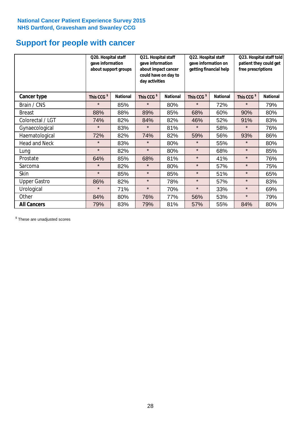# **Support for people with cancer**

|                      | Q20. Hospital staff<br>gave information | about support groups | Q21. Hospital staff<br>gave information<br>about impact cancer<br>could have on day to<br>day activities |                 | Q22. Hospital staff<br>gave information on<br>getting financial help |                 | Q23. Hospital staff told<br>patient they could get<br>free prescriptions |                 |
|----------------------|-----------------------------------------|----------------------|----------------------------------------------------------------------------------------------------------|-----------------|----------------------------------------------------------------------|-----------------|--------------------------------------------------------------------------|-----------------|
| Cancer type          | This CCG <sup>\$</sup>                  | <b>National</b>      | This CCG <sup>\$</sup>                                                                                   | <b>National</b> | This CCG <sup>\$</sup>                                               | <b>National</b> | This CCG <sup>\$</sup>                                                   | <b>National</b> |
| Brain / CNS          | $\star$                                 | 85%                  | $\star$                                                                                                  | 80%             | $\star$                                                              | 72%             | $\star$                                                                  | 79%             |
| <b>Breast</b>        | 88%                                     | 88%                  | 89%                                                                                                      | 85%             | 68%                                                                  | 60%             | 90%                                                                      | 80%             |
| Colorectal / LGT     | 74%                                     | 82%                  | 84%                                                                                                      | 82%             | 46%                                                                  | 52%             | 91%                                                                      | 83%             |
| Gynaecological       | $\star$                                 | 83%                  | $\star$                                                                                                  | 81%             | $\star$                                                              | 58%             | $\star$                                                                  | 76%             |
| Haematological       | 72%                                     | 82%                  | 74%                                                                                                      | 82%             | 59%                                                                  | 56%             | 93%                                                                      | 86%             |
| <b>Head and Neck</b> | $\star$                                 | 83%                  | $\star$                                                                                                  | 80%             | $\star$                                                              | 55%             | $\star$                                                                  | 80%             |
| Lung                 | $\star$                                 | 82%                  | $\star$                                                                                                  | 80%             | $\star$                                                              | 68%             | $\star$                                                                  | 85%             |
| Prostate             | 64%                                     | 85%                  | 68%                                                                                                      | 81%             | $\star$                                                              | 41%             | $\star$                                                                  | 76%             |
| Sarcoma              | $\star$                                 | 82%                  | $\star$                                                                                                  | 80%             | $\star$                                                              | 57%             | $\star$                                                                  | 75%             |
| Skin                 | $\star$                                 | 85%                  | $\star$                                                                                                  | 85%             | $\star$                                                              | 51%             | $\star$                                                                  | 65%             |
| <b>Upper Gastro</b>  | 86%                                     | 82%                  | $\star$                                                                                                  | 78%             | $\star$                                                              | 57%             | $\star$                                                                  | 83%             |
| Urological           | $\star$                                 | 71%                  | $\star$                                                                                                  | 70%             | $\star$                                                              | 33%             | $\star$                                                                  | 69%             |
| Other                | 84%                                     | 80%                  | 76%                                                                                                      | 77%             | 56%                                                                  | 53%             | $\star$                                                                  | 79%             |
| <b>All Cancers</b>   | 79%                                     | 83%                  | 79%                                                                                                      | 81%             | 57%                                                                  | 55%             | 84%                                                                      | 80%             |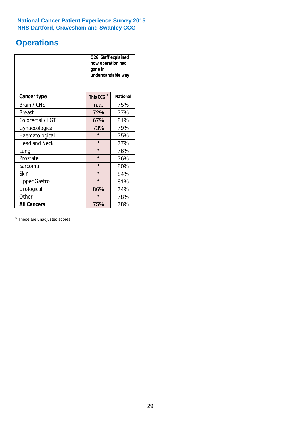# **Operations**

|                      | Q26. Staff explained<br>how operation had<br>gone in<br>understandable way |                 |  |  |
|----------------------|----------------------------------------------------------------------------|-----------------|--|--|
| <b>Cancer type</b>   | This CCG <sup>\$</sup>                                                     | <b>National</b> |  |  |
| Brain / CNS          | n.a.                                                                       | 75%             |  |  |
| <b>Breast</b>        | 72%                                                                        | 77%             |  |  |
| Colorectal / LGT     | 67%                                                                        | 81%             |  |  |
| Gynaecological       | 73%<br>79%                                                                 |                 |  |  |
| Haematological       | $\star$<br>75%                                                             |                 |  |  |
| <b>Head and Neck</b> | $\star$                                                                    | 77%             |  |  |
| Lung                 | $\star$                                                                    | 76%             |  |  |
| Prostate             | $\star$                                                                    | 76%             |  |  |
| Sarcoma              | $\star$                                                                    | 80%             |  |  |
| Skin                 | $\star$                                                                    | 84%             |  |  |
| <b>Upper Gastro</b>  | $\star$                                                                    | 81%             |  |  |
| Urological           | 86%                                                                        | 74%             |  |  |
| Other                | $\star$<br>78%                                                             |                 |  |  |
| <b>All Cancers</b>   | 75%                                                                        | 78%             |  |  |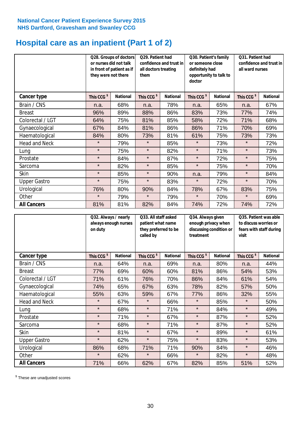# **Hospital care as an inpatient (Part 1 of 2)**

|                      | or nurses did not talk<br>they were not there | Q28. Groups of doctors<br>in front of patient as if | Q29. Patient had<br>confidence and trust in<br>all doctors treating<br>them |                 | Q30. Patient's family<br>or someone close<br>definitely had<br>opportunity to talk to<br>doctor |                 | Q31. Patient had<br>confidence and trust in I<br>all ward nurses |                 |
|----------------------|-----------------------------------------------|-----------------------------------------------------|-----------------------------------------------------------------------------|-----------------|-------------------------------------------------------------------------------------------------|-----------------|------------------------------------------------------------------|-----------------|
| Cancer type          | This CCG <sup>\$</sup>                        | <b>National</b>                                     | This CCG <sup>\$</sup>                                                      | <b>National</b> | This CCG <sup>\$</sup>                                                                          | <b>National</b> | This CCG <sup>\$</sup>                                           | <b>National</b> |
| Brain / CNS          | n.a.                                          | 68%                                                 | n.a.                                                                        | 78%             | n.a.                                                                                            | 65%             | n.a.                                                             | 67%             |
| <b>Breast</b>        | 96%                                           | 89%                                                 | 88%                                                                         | 86%             | 83%                                                                                             | 73%             | 77%                                                              | 74%             |
| Colorectal / LGT     | 64%                                           | 75%                                                 | 81%                                                                         | 85%             | 58%                                                                                             | 72%             | 71%                                                              | 68%             |
| Gynaecological       | 67%                                           | 84%                                                 | 81%                                                                         | 86%             | 86%                                                                                             | 71%             | 70%                                                              | 69%             |
| Haematological       | 84%                                           | 80%                                                 | 73%                                                                         | 81%             | 61%                                                                                             | 75%             | 73%                                                              | 73%             |
| <b>Head and Neck</b> | $\star$                                       | 79%                                                 | $\star$                                                                     | 85%             | $\star$                                                                                         | 73%             | $\star$                                                          | 72%             |
| Lung                 | $\star$                                       | 75%                                                 | $\star$                                                                     | 82%             | $\star$                                                                                         | 71%             | $\star$                                                          | 73%             |
| Prostate             | $\star$                                       | 84%                                                 | $\star$                                                                     | 87%             | $\star$                                                                                         | 72%             | $\star$                                                          | 75%             |
| Sarcoma              | $\star$                                       | 82%                                                 | $\star$                                                                     | 85%             | $\star$                                                                                         | 75%             | $\star$                                                          | 70%             |
| Skin                 | $\star$                                       | 85%                                                 | $\star$                                                                     | 90%             | n.a.                                                                                            | 79%             | $\star$                                                          | 84%             |
| <b>Upper Gastro</b>  | $\star$                                       | 75%                                                 | $\star$                                                                     | 83%             | $\star$                                                                                         | 72%             | $\star$                                                          | 70%             |
| Urological           | 76%                                           | 80%                                                 | 90%                                                                         | 84%             | 78%                                                                                             | 67%             | 83%                                                              | 75%             |
| Other                | $\star$                                       | 79%                                                 | $\star$                                                                     | 79%             | $\star$                                                                                         | 70%             | $\star$                                                          | 69%             |
| <b>All Cancers</b>   | 81%                                           | 81%                                                 | 82%                                                                         | 84%             | 74%                                                                                             | 72%             | 74%                                                              | 72%             |

|                      | Q32. Always / nearly<br>always enough nurses<br>on duty |                 | Q33. All staff asked<br>patient what name<br>they preferred to be<br>called by |                 | Q34. Always given<br>enough privacy when<br>discussing condition or<br>treatment |                 | Q35. Patient was able<br>to discuss worries or<br>fears with staff during<br>visit |                 |
|----------------------|---------------------------------------------------------|-----------------|--------------------------------------------------------------------------------|-----------------|----------------------------------------------------------------------------------|-----------------|------------------------------------------------------------------------------------|-----------------|
| <b>Cancer type</b>   | This CCG <sup>\$</sup>                                  | <b>National</b> | This CCG <sup>\$</sup>                                                         | <b>National</b> | This CCG <sup>\$</sup>                                                           | <b>National</b> | This CCG <sup>\$</sup>                                                             | <b>National</b> |
| Brain / CNS          | n.a.                                                    | 64%             | n.a.                                                                           | 69%             | n.a.                                                                             | 80%             | n.a.                                                                               | 44%             |
| <b>Breast</b>        | 77%                                                     | 69%             | 60%                                                                            | 60%             | 81%                                                                              | 86%             | 54%                                                                                | 53%             |
| Colorectal / LGT     | 71%                                                     | 61%             | 76%                                                                            | 70%             | 86%                                                                              | 84%             | 61%                                                                                | 54%             |
| Gynaecological       | 74%                                                     | 65%             | 67%                                                                            | 63%             | 78%                                                                              | 82%             | 57%                                                                                | 50%             |
| Haematological       | 55%                                                     | 63%             | 59%                                                                            | 67%             | 77%                                                                              | 86%             | 32%                                                                                | 55%             |
| <b>Head and Neck</b> | $\star$                                                 | 67%             | $\star$                                                                        | 66%             | $\star$                                                                          | 85%             | $\star$                                                                            | 50%             |
| Lung                 | $\star$                                                 | 68%             | $\star$                                                                        | 71%             | $\star$                                                                          | 84%             | $\star$                                                                            | 49%             |
| Prostate             | $\star$                                                 | 71%             | $\star$                                                                        | 67%             | $\star$                                                                          | 87%             | $\star$                                                                            | 52%             |
| Sarcoma              | $\star$                                                 | 68%             | $\star$                                                                        | 71%             | $\star$                                                                          | 87%             | $\star$                                                                            | 52%             |
| Skin                 | $\star$                                                 | 81%             | $\star$                                                                        | 67%             | $\star$                                                                          | 89%             | $\star$                                                                            | 61%             |
| <b>Upper Gastro</b>  | $\star$                                                 | 62%             | $\star$                                                                        | 75%             | $\star$                                                                          | 83%             | $\star$                                                                            | 53%             |
| Urological           | 86%                                                     | 68%             | 71%                                                                            | 71%             | 90%                                                                              | 84%             | $\star$                                                                            | 46%             |
| Other                | $\star$                                                 | 62%             | $\star$                                                                        | 66%             | $\star$                                                                          | 82%             | $\star$                                                                            | 48%             |
| <b>All Cancers</b>   | 71%                                                     | 66%             | 62%                                                                            | 67%             | 82%                                                                              | 85%             | 51%                                                                                | 52%             |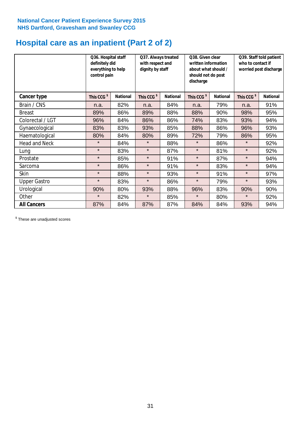# **Hospital care as an inpatient (Part 2 of 2)**

|                      | Q36. Hospital staff<br>definitely did<br>everything to help<br>control pain |                 | Q37. Always treated<br>with respect and<br>dignity by staff |                 | Q38. Given clear<br>written information<br>about what should /<br>should not do post<br>discharge |                 | Q39. Staff told patient<br>who to contact if<br>worried post discharge |                 |  |
|----------------------|-----------------------------------------------------------------------------|-----------------|-------------------------------------------------------------|-----------------|---------------------------------------------------------------------------------------------------|-----------------|------------------------------------------------------------------------|-----------------|--|
| Cancer type          | This CCG <sup>\$</sup>                                                      | <b>National</b> | This CCG <sup>\$</sup>                                      | <b>National</b> | This CCG <sup>\$</sup>                                                                            | <b>National</b> | This CCG <sup>\$</sup>                                                 | <b>National</b> |  |
| Brain / CNS          | n.a.                                                                        | 82%             | n.a.                                                        | 84%             | n.a.                                                                                              | 79%             | n.a.                                                                   | 91%             |  |
| <b>Breast</b>        | 89%                                                                         | 86%             | 89%                                                         | 88%             | 88%                                                                                               | 90%             | 98%                                                                    | 95%             |  |
| Colorectal / LGT     | 96%                                                                         | 84%             | 86%                                                         | 86%             | 74%                                                                                               | 83%             | 93%                                                                    | 94%             |  |
| Gynaecological       | 83%                                                                         | 83%             | 93%                                                         | 85%             | 88%                                                                                               | 86%             | 96%                                                                    | 93%             |  |
| Haematological       | 80%                                                                         | 84%             | 80%                                                         | 89%             | 72%                                                                                               | 79%             | 86%                                                                    | 95%             |  |
| <b>Head and Neck</b> | $\star$                                                                     | 84%             | $\star$                                                     | 88%             | $\star$                                                                                           | 86%             | $\star$                                                                | 92%             |  |
| Lung                 | $\star$                                                                     | 83%             | $\star$                                                     | 87%             | $\star$                                                                                           | 81%             | $\star$                                                                | 92%             |  |
| Prostate             | $\star$                                                                     | 85%             | $\star$                                                     | 91%             | $\star$                                                                                           | 87%             | $\star$                                                                | 94%             |  |
| Sarcoma              | $\star$                                                                     | 86%             | $\star$                                                     | 91%             | $\star$                                                                                           | 83%             | $\star$                                                                | 94%             |  |
| Skin                 | $\star$                                                                     | 88%             | $\star$                                                     | 93%             | $\star$                                                                                           | 91%             | $\star$                                                                | 97%             |  |
| <b>Upper Gastro</b>  | $\star$                                                                     | 83%             | $\star$                                                     | 86%             | $\star$                                                                                           | 79%             | $\star$                                                                | 93%             |  |
| Urological           | 90%                                                                         | 80%             | 93%                                                         | 88%             | 96%                                                                                               | 83%             | 90%                                                                    | 90%             |  |
| Other                | $\star$                                                                     | 82%             | $\star$                                                     | 85%             | $\star$                                                                                           | 80%             | $\star$                                                                | 92%             |  |
| <b>All Cancers</b>   | 87%                                                                         | 84%             | 87%                                                         | 87%             | 84%                                                                                               | 84%             | 93%                                                                    | 94%             |  |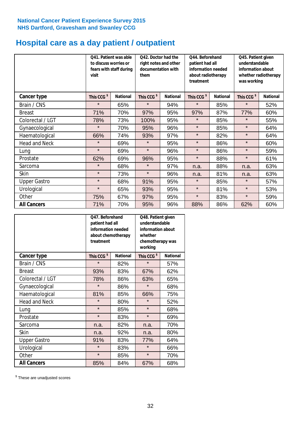# **Hospital care as a day patient / outpatient**

|                      | to discuss worries or<br>visit | Q41. Patient was able<br>fears with staff during | Q42. Doctor had the<br>right notes and other<br>documentation with<br>them |                 | Q44. Beforehand<br>patient had all<br>information needed<br>about radiotherapy<br>treatment |                 | Q45. Patient given<br>understandable<br>information about<br>whether radiotherapy<br>was working |                 |
|----------------------|--------------------------------|--------------------------------------------------|----------------------------------------------------------------------------|-----------------|---------------------------------------------------------------------------------------------|-----------------|--------------------------------------------------------------------------------------------------|-----------------|
| Cancer type          | This CCG <sup>\$</sup>         | <b>National</b>                                  | This CCG <sup>\$</sup>                                                     | <b>National</b> | This CCG <sup>\$</sup>                                                                      | <b>National</b> | This CCG <sup>\$</sup>                                                                           | <b>National</b> |
| Brain / CNS          | $\star$                        | 65%                                              | $\star$                                                                    | 94%             | $\star$                                                                                     | 85%             | $\star$                                                                                          | 52%             |
| <b>Breast</b>        | 71%                            | 70%                                              | 97%                                                                        | 95%             | 97%                                                                                         | 87%             | 77%                                                                                              | 60%             |
| Colorectal / LGT     | 78%                            | 73%                                              | 100%                                                                       | 95%             | $\star$                                                                                     | 85%             | $\star$                                                                                          | 55%             |
| Gynaecological       | $\star$                        | 70%                                              | 95%                                                                        | 96%             | $\star$                                                                                     | 85%             | $\star$                                                                                          | 64%             |
| Haematological       | 66%                            | 74%                                              | 93%                                                                        | 97%             | $\star$                                                                                     | 82%             | $\star$                                                                                          | 64%             |
| <b>Head and Neck</b> | $\star$                        | 69%                                              | $\star$                                                                    | 95%             | $\star$                                                                                     | 86%             | $\star$                                                                                          | 60%             |
| Lung                 | $\star$                        | 69%                                              | $\star$                                                                    | 96%             | $\star$                                                                                     | 86%             | $\star$                                                                                          | 59%             |
| Prostate             | 62%                            | 69%                                              | 96%                                                                        | 95%             | $\star$                                                                                     | 88%             | $\star$                                                                                          | 61%             |
| Sarcoma              | $\star$                        | 68%                                              | $\star$                                                                    | 97%             | n.a.                                                                                        | 88%             | n.a.                                                                                             | 63%             |
| Skin                 | $\star$                        | 73%                                              | $\star$                                                                    | 96%             | n.a.                                                                                        | 81%             | n.a.                                                                                             | 63%             |
| <b>Upper Gastro</b>  | $\star$                        | 68%                                              | 91%                                                                        | 95%             | $\star$                                                                                     | 85%             | $\star$                                                                                          | 57%             |
| Urological           | $\star$                        | 65%                                              | 93%                                                                        | 95%             | $\star$                                                                                     | 81%             | $\star$                                                                                          | 53%             |
| Other                | 75%                            | 67%                                              | 97%                                                                        | 95%             | $\star$                                                                                     | 83%             | $\star$                                                                                          | 59%             |
| <b>All Cancers</b>   | 71%                            | 70%                                              | 95%                                                                        | 96%             | 88%                                                                                         | 86%             | 62%                                                                                              | 60%             |

|                      | Q47. Beforehand<br>patient had all<br>information needed<br>about chemotherapy<br>treatment |                 | Q48. Patient given<br>understandable<br>information about<br>whether<br>chemotherapy was<br>working |                 |  |
|----------------------|---------------------------------------------------------------------------------------------|-----------------|-----------------------------------------------------------------------------------------------------|-----------------|--|
| <b>Cancer type</b>   | This CCG <sup>\$</sup>                                                                      | <b>National</b> | This CCG <sup>\$</sup>                                                                              | <b>National</b> |  |
| Brain / CNS          | $\star$                                                                                     | 82%             | $\star$                                                                                             | 57%             |  |
| <b>Breast</b>        | 93%                                                                                         | 83%             | 67%                                                                                                 | 62%             |  |
| Colorectal / LGT     | 78%                                                                                         | 86%             | 63%                                                                                                 | 65%             |  |
| Gynaecological       | $\star$                                                                                     | 86%             | $\star$                                                                                             | 68%             |  |
| Haematological       | 81%                                                                                         | 85%             |                                                                                                     | 75%             |  |
| <b>Head and Neck</b> | $\star$                                                                                     | 80%             | $\star$                                                                                             | 52%             |  |
| Lung                 | $\star$                                                                                     | 85%             | $\star$                                                                                             | 68%             |  |
| Prostate             | $\star$                                                                                     | 83%             | $\star$                                                                                             | 69%             |  |
| Sarcoma              | n.a.                                                                                        | 82%             | n.a.                                                                                                | 70%             |  |
| Skin                 | n.a.                                                                                        | 92%             | n.a.                                                                                                | 80%             |  |
| <b>Upper Gastro</b>  | 91%                                                                                         | 83%             | 77%                                                                                                 | 64%             |  |
| Urological           | $\star$                                                                                     | 83%             | $\star$                                                                                             | 66%             |  |
| Other                | $\star$                                                                                     | 85%             | $\star$                                                                                             | 70%             |  |
| <b>All Cancers</b>   | 85%                                                                                         | 84%             | 67%                                                                                                 | 68%             |  |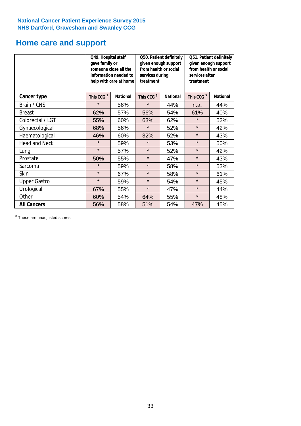# **Home care and support**

|                      | Q49. Hospital staff<br>gave family or | someone close all the<br>information needed to<br>help with care at home | Q50. Patient definitely<br>given enough support<br>from health or social<br>services during<br>treatment |                 | Q51. Patient definitely<br>given enough support<br>from health or social<br>services after<br>treatment |                 |
|----------------------|---------------------------------------|--------------------------------------------------------------------------|----------------------------------------------------------------------------------------------------------|-----------------|---------------------------------------------------------------------------------------------------------|-----------------|
| <b>Cancer type</b>   | This CCG <sup>\$</sup>                | <b>National</b>                                                          | This CCG <sup>\$</sup>                                                                                   | <b>National</b> | This CCG <sup>\$</sup>                                                                                  | <b>National</b> |
| Brain / CNS          | $\star$                               | 56%                                                                      | $\star$                                                                                                  | 44%             | n.a.                                                                                                    | 44%             |
| <b>Breast</b>        | 62%                                   | 57%                                                                      | 56%                                                                                                      | 54%             | 61%                                                                                                     | 40%             |
| Colorectal / LGT     | 55%                                   | 60%                                                                      | 63%                                                                                                      | 62%             | $\star$                                                                                                 | 52%             |
| Gynaecological       | 68%                                   | 56%                                                                      | $\star$                                                                                                  | 52%             | $\star$                                                                                                 | 42%             |
| Haematological       | 46%                                   | 60%                                                                      | 32%                                                                                                      | 52%             | $\star$                                                                                                 | 43%             |
| <b>Head and Neck</b> | $\star$                               | 59%                                                                      | $\star$                                                                                                  | 53%             | $\star$                                                                                                 | 50%             |
| Lung                 | $\star$                               | 57%                                                                      | $\star$                                                                                                  | 52%             | $\star$                                                                                                 | 42%             |
| Prostate             | 50%                                   | 55%                                                                      | $\star$                                                                                                  | 47%             | $\star$                                                                                                 | 43%             |
| Sarcoma              | $\star$                               | 59%                                                                      | $\star$                                                                                                  | 58%             | $\star$                                                                                                 | 53%             |
| Skin                 | $\star$                               | 67%                                                                      | $\star$                                                                                                  | 58%             | $\star$                                                                                                 | 61%             |
| <b>Upper Gastro</b>  | $\star$                               | 59%                                                                      | $\star$                                                                                                  | 54%             | $\star$                                                                                                 | 45%             |
| Urological           | 67%                                   | 55%                                                                      | $\star$                                                                                                  | 47%             | $\star$                                                                                                 | 44%             |
| Other                | 60%                                   | 54%                                                                      | 64%                                                                                                      | 55%             | $\star$                                                                                                 | 48%             |
| <b>All Cancers</b>   | 56%                                   | 58%                                                                      | 51%                                                                                                      | 54%             | 47%                                                                                                     | 45%             |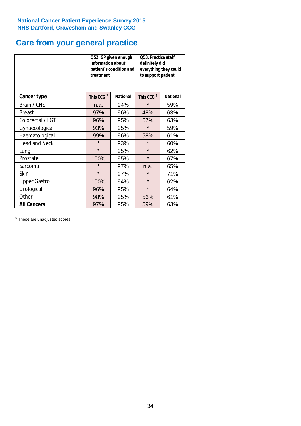# **Care from your general practice**

|                      | information about<br>treatment | Q52. GP given enough<br>patient's condition and | <b>O53. Practice staff</b><br>definitely did<br>everything they could<br>to support patient |                 |  |
|----------------------|--------------------------------|-------------------------------------------------|---------------------------------------------------------------------------------------------|-----------------|--|
| <b>Cancer type</b>   | This CCG <sup>\$</sup>         | <b>National</b>                                 | This CCG <sup>\$</sup>                                                                      | <b>National</b> |  |
| Brain / CNS          | n.a.                           | 94%                                             | $\star$                                                                                     | 59%             |  |
| <b>Breast</b>        | 97%                            | 96%                                             | 48%                                                                                         | 63%             |  |
| Colorectal / LGT     | 96%                            | 95%                                             | 67%                                                                                         | 63%             |  |
| Gynaecological       | 93%                            | 95%                                             | $\star$                                                                                     | 59%             |  |
| Haematological       | 99%                            | 96%                                             | 58%                                                                                         | 61%             |  |
| <b>Head and Neck</b> | $\star$                        | 93%                                             | $\star$                                                                                     | 60%             |  |
| Lung                 | $\star$                        | 95%                                             | $\star$                                                                                     | 62%             |  |
| Prostate             | 100%                           | 95%                                             | $\star$                                                                                     | 67%             |  |
| Sarcoma              | $\star$                        | 97%                                             | n.a.                                                                                        | 65%             |  |
| <b>Skin</b>          | $\star$                        | 97%                                             | $\star$                                                                                     | 71%             |  |
| <b>Upper Gastro</b>  | 100%                           | 94%                                             | $\star$                                                                                     | 62%             |  |
| Urological           | 96%                            | 95%                                             | $\star$                                                                                     | 64%             |  |
| Other                | 98%                            | 95%                                             | 56%                                                                                         | 61%             |  |
| <b>All Cancers</b>   | 97%                            | 95%                                             | 59%                                                                                         | 63%             |  |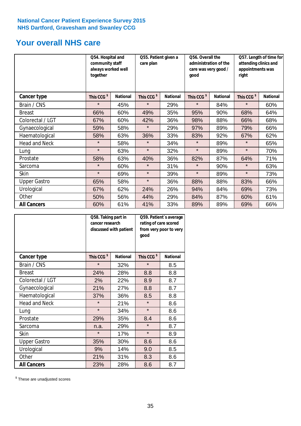# **Your overall NHS care**

|                      | together               | Q54. Hospital and<br>community staff<br>always worked well |                        | Q55. Patient given a | qood                   | Q56. Overall the<br>administration of the<br>care was very good /<br>right |                        | Q57. Length of time for<br>attending clinics and<br>appointments was |  |
|----------------------|------------------------|------------------------------------------------------------|------------------------|----------------------|------------------------|----------------------------------------------------------------------------|------------------------|----------------------------------------------------------------------|--|
| <b>Cancer type</b>   | This CCG <sup>\$</sup> | <b>National</b>                                            | This CCG <sup>\$</sup> | <b>National</b>      | This CCG <sup>\$</sup> | <b>National</b>                                                            | This CCG <sup>\$</sup> | <b>National</b>                                                      |  |
| Brain / CNS          | $\star$                | 45%                                                        | $\star$                | 29%                  | $\star$                | 84%                                                                        | $\star$                | 60%                                                                  |  |
| <b>Breast</b>        | 66%                    | 60%                                                        | 49%                    | 35%                  | 95%                    | 90%                                                                        | 68%                    | 64%                                                                  |  |
| Colorectal / LGT     | 67%                    | 60%                                                        | 42%                    | 36%                  | 98%                    | 88%                                                                        | 66%                    | 68%                                                                  |  |
| Gynaecological       | 59%                    | 58%                                                        | $\star$                | 29%                  | 97%                    | 89%                                                                        | 79%                    | 66%                                                                  |  |
| Haematological       | 58%                    | 63%                                                        | 36%                    | 33%                  | 83%                    | 92%                                                                        | 67%                    | 62%                                                                  |  |
| <b>Head and Neck</b> | $\star$                | 58%                                                        | $\star$                | 34%                  | $\star$                | 89%                                                                        | $\star$                | 65%                                                                  |  |
| Lung                 | $\star$                | 63%                                                        | $\star$                | 32%                  | $\star$                | 89%                                                                        | $\star$                | 70%                                                                  |  |
| Prostate             | 58%                    | 63%                                                        | 40%                    | 36%                  | 82%                    | 87%                                                                        | 64%                    | 71%                                                                  |  |
| Sarcoma              | $\star$                | 60%                                                        | $\star$                | 31%                  | $\star$                | 90%                                                                        | $\star$                | 63%                                                                  |  |
| Skin                 | $\star$                | 69%                                                        | $\star$                | 39%                  | $\star$                | 89%                                                                        | $\star$                | 73%                                                                  |  |
| <b>Upper Gastro</b>  | 65%                    | 58%                                                        | $\star$                | 36%                  | 88%                    | 88%                                                                        | 83%                    | 66%                                                                  |  |
| Urological           | 67%                    | 62%                                                        | 24%                    | 26%                  | 94%                    | 84%                                                                        | 69%                    | 73%                                                                  |  |
| Other                | 50%                    | 56%                                                        | 44%                    | 29%                  | 84%                    | 87%                                                                        | 60%                    | 61%                                                                  |  |
| <b>All Cancers</b>   | 60%                    | 61%                                                        | 41%                    | 33%                  | 89%                    | 89%                                                                        | 69%                    | 66%                                                                  |  |

|                      | Q58. Taking part in<br>cancer research | discussed with patient | Q59. Patient's average<br>rating of care scored<br>from very poor to very<br>good |                 |  |
|----------------------|----------------------------------------|------------------------|-----------------------------------------------------------------------------------|-----------------|--|
| <b>Cancer type</b>   | This CCG <sup>\$</sup>                 | <b>National</b>        | This CCG <sup>\$</sup>                                                            | <b>National</b> |  |
| Brain / CNS          | $\star$                                | 32%                    | $\star$                                                                           | 8.5             |  |
| <b>Breast</b>        | 24%                                    | 28%                    | 8.8                                                                               | 8.8             |  |
| Colorectal / LGT     | 2%                                     | 22%                    | 8.9                                                                               | 8.7             |  |
| Gynaecological       | 21%<br>27%                             |                        | 8.8                                                                               | 8.7             |  |
| Haematological       | 37%                                    | 36%                    | 8.5                                                                               | 8.8             |  |
| <b>Head and Neck</b> | $\star$                                | 21%                    | $\star$                                                                           | 8.6             |  |
| Lung                 | $\star$                                | 34%                    | $\star$                                                                           | 8.6             |  |
| Prostate             | 29%                                    | 35%                    | 8.4                                                                               | 8.6             |  |
| Sarcoma              | n.a.                                   | 29%                    | $\star$                                                                           | 8.7             |  |
| Skin                 | $\star$                                | 17%                    | $\star$                                                                           | 8.9             |  |
| <b>Upper Gastro</b>  | 35%                                    | 30%                    | 8.6                                                                               | 8.6             |  |
| Urological           | 9%                                     | 14%                    | 9.0                                                                               | 8.5             |  |
| Other                | 21%                                    | 31%                    | 8.3                                                                               | 8.6             |  |
| <b>All Cancers</b>   | 23%                                    | 28%                    | 8.6                                                                               | 8.7             |  |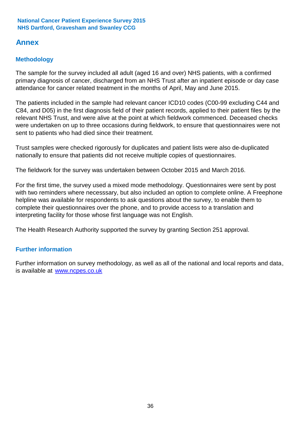# **Annex**

# **Methodology**

The sample for the survey included all adult (aged 16 and over) NHS patients, with a confirmed primary diagnosis of cancer, discharged from an NHS Trust after an inpatient episode or day case attendance for cancer related treatment in the months of April, May and June 2015.

The patients included in the sample had relevant cancer ICD10 codes (C00-99 excluding C44 and C84, and D05) in the first diagnosis field of their patient records, applied to their patient files by the relevant NHS Trust, and were alive at the point at which fieldwork commenced. Deceased checks were undertaken on up to three occasions during fieldwork, to ensure that questionnaires were not sent to patients who had died since their treatment.

Trust samples were checked rigorously for duplicates and patient lists were also de-duplicated nationally to ensure that patients did not receive multiple copies of questionnaires.

The fieldwork for the survey was undertaken between October 2015 and March 2016.

For the first time, the survey used a mixed mode methodology. Questionnaires were sent by post with two reminders where necesssary, but also included an option to complete online. A Freephone helpline was available for respondents to ask questions about the survey, to enable them to complete their questionnaires over the phone, and to provide access to a translation and interpreting facility for those whose first language was not English.

The Health Research Authority supported the survey by granting Section 251 approval.

# **Further information**

Further information on survey methodology, as well as all of the national and local reports and data, is available at www.ncpes.co.uk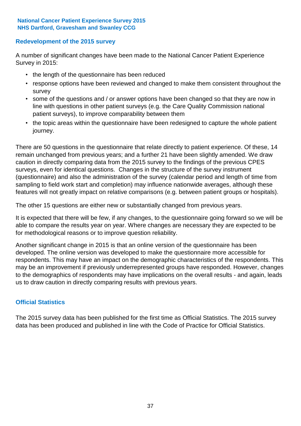### **Redevelopment of the 2015 survey**

A number of significant changes have been made to the National Cancer Patient Experience Survey in 2015:

- the length of the questionnaire has been reduced
- response options have been reviewed and changed to make them consistent throughout the survey
- some of the questions and / or answer options have been changed so that they are now in line with questions in other patient surveys (e.g. the Care Quality Commission national patient surveys), to improve comparability between them
- the topic areas within the questionnaire have been redesigned to capture the whole patient journey.

There are 50 questions in the questionnaire that relate directly to patient experience. Of these, 14 remain unchanged from previous years; and a further 21 have been slightly amended. We draw caution in directly comparing data from the 2015 survey to the findings of the previous CPES surveys, even for identical questions. Changes in the structure of the survey instrument (questionnaire) and also the administration of the survey (calendar period and length of time from sampling to field work start and completion) may influence nationwide averages, although these features will not greatly impact on relative comparisons (e.g. between patient groups or hospitals).

The other 15 questions are either new or substantially changed from previous years.

It is expected that there will be few, if any changes, to the questionnaire going forward so we will be able to compare the results year on year. Where changes are necessary they are expected to be for methodological reasons or to improve question reliability.

Another significant change in 2015 is that an online version of the questionnaire has been developed. The online version was developed to make the questionnaire more accessible for respondents. This may have an impact on the demographic characteristics of the respondents. This may be an improvement if previously underrepresented groups have responded. However, changes to the demographics of respondents may have implications on the overall results - and again, leads us to draw caution in directly comparing results with previous years.

### **Official Statistics**

The 2015 survey data has been published for the first time as Official Statistics. The 2015 survey data has been produced and published in line with the Code of Practice for Official Statistics.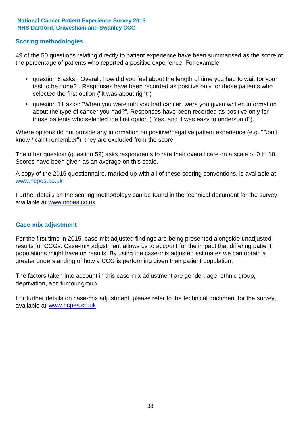### **Scoring methodologies**

49 of the 50 questions relating directly to patient experience have been summarised as the score of the percentage of patients who reported a positive experience. For example:

- question 6 asks: "Overall, how did you feel about the length of time you had to wait for your test to be done?". Responses have been recorded as positive only for those patients who selected the first option ("It was about right")
- question 11 asks: "When you were told you had cancer, were you given written information about the type of cancer you had?". Responses have been recorded as positive only for those patients who selected the first option ("Yes, and it was easy to understand").

Where options do not provide any information on positive/negative patient experience (e.g. "Don't know / can't remember"), they are excluded from the score.

The other question (question 59) asks respondents to rate their overall care on a scale of 0 to 10. Scores have been given as an average on this scale.

A copy of the 2015 questionnaire, marked up with all of these scoring conventions, is available at www.ncpes.co.uk

Further details on the scoring methodology can be found in the technical document for the survey, available at <u>www.ncpes.co.uk</u>

#### **Case-mix adjustment**

For the first time in 2015, case-mix adjusted findings are being presented alongside unadjusted results for CCGs. Case-mix adjustment allows us to account for the impact that differing patient populations might have on results. By using the case-mix adjusted estimates we can obtain a greater understanding of how a CCG is performing given their patient population.

The factors taken into account in this case-mix adjustment are gender, age, ethnic group, deprivation, and tumour group.

For further details on case-mix adjustment, please refer to the technical document for the survey, available at www.ncpes.co.uk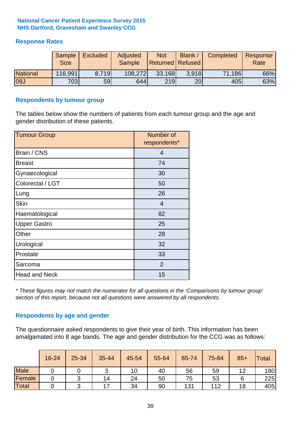### **Response Rates**

|                 | Sample<br><b>Size</b> | <b>Excluded</b> | Adjusted<br><b>Sample</b> | <b>Not</b><br>Returned Refused | Blank / | Completed | Response<br>Rate |
|-----------------|-----------------------|-----------------|---------------------------|--------------------------------|---------|-----------|------------------|
| <b>National</b> | 116,991               | 8.719           | 108,272                   | 33,168                         | 3.918   | 71,186    | 66%              |
| 09J             | 703                   | 59              | 644                       | 219                            | 20      | 405       | 63%              |

#### **Respondents by tumour group**

The tables below show the numbers of patients from each tumour group and the age and gender distribution of these patients.

| <b>Tumour Group</b>  | Number of<br>respondents* |  |  |
|----------------------|---------------------------|--|--|
| Brain / CNS          | $\overline{4}$            |  |  |
| <b>Breast</b>        | 74                        |  |  |
| Gynaecological       | 30                        |  |  |
| Colorectal / LGT     | 50                        |  |  |
| Lung                 | 26                        |  |  |
| <b>Skin</b>          | $\overline{4}$            |  |  |
| Haematological       | 82                        |  |  |
| <b>Upper Gastro</b>  | 25                        |  |  |
| Other                | 28                        |  |  |
| Urological           | 32                        |  |  |
| Prostate             | 33                        |  |  |
| Sarcoma              | 2                         |  |  |
| <b>Head and Neck</b> | 15                        |  |  |

*\* These figures may not match the numerator for all questions in the 'Comparisons by tumour group' section of this report, because not all questions were answered by all respondents.*

### **Respondents by age and gender**

The questionnaire asked respondents to give their year of birth. This information has been amalgamated into 8 age bands. The age and gender distribution for the CCG was as follows:

|             | 16-24 | 25-34 | 35-44                    | 45-54 | 55-64 | 65-74 | 75-84 | $85+$ | <b>Total</b> |
|-------------|-------|-------|--------------------------|-------|-------|-------|-------|-------|--------------|
| <b>Male</b> |       |       | ັ                        | 10    | 40    | 56    | 59    | 12    | 180          |
| Female      |       | ⌒     | 14                       | 24    | 50    | 75    | 53    |       | 225          |
| Total       |       |       | $\overline{\phantom{a}}$ | 34    | 90    | 131   | 112   | 18    | 405          |